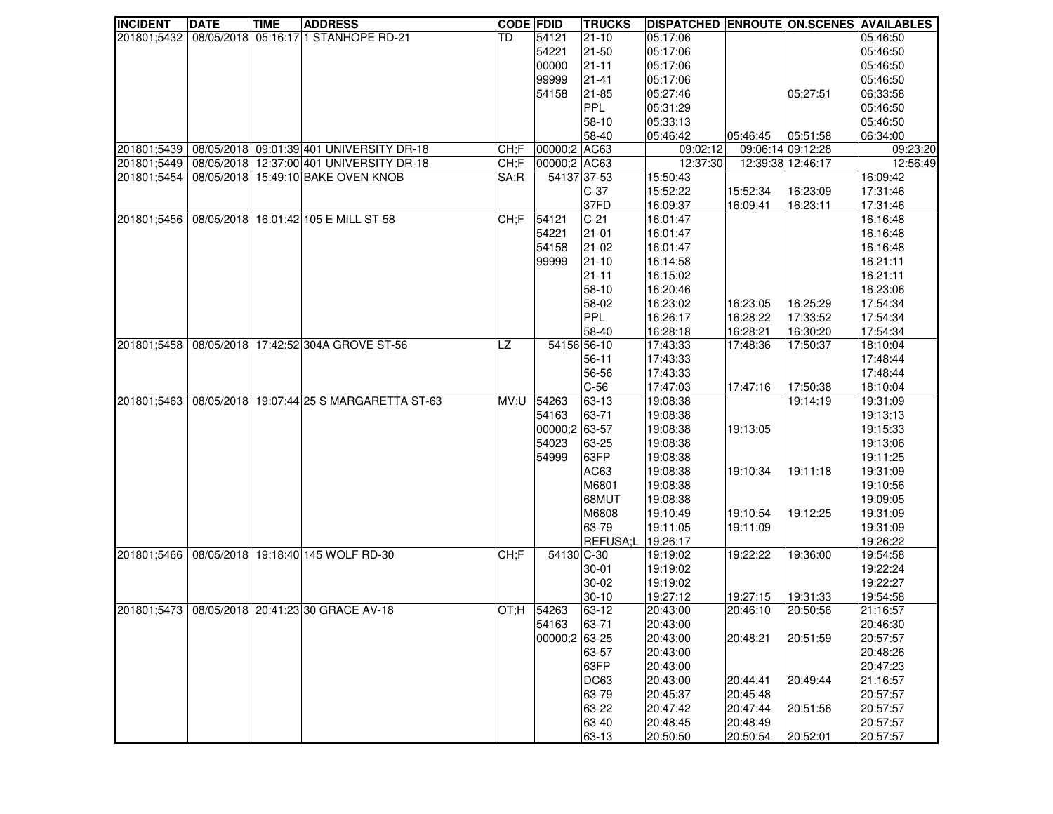| <b>INCIDENT</b> | <b>DATE</b> | <b>TIME</b> | <b>ADDRESS</b>                                 | <b>CODE FDID</b> |               | <b>TRUCKS</b>     | <b>DISPATCHED ENROUTE ON.SCENES AVAILABLES</b> |                   |                   |          |
|-----------------|-------------|-------------|------------------------------------------------|------------------|---------------|-------------------|------------------------------------------------|-------------------|-------------------|----------|
| 201801;5432     |             |             | 08/05/2018 05:16:17 1 STANHOPE RD-21           | TD               | 54121         | $21-10$           | 05:17:06                                       |                   |                   | 05:46:50 |
|                 |             |             |                                                |                  | 54221         | 21-50             | 05:17:06                                       |                   |                   | 05:46:50 |
|                 |             |             |                                                |                  | 00000         | $21 - 11$         | 05:17:06                                       |                   |                   | 05:46:50 |
|                 |             |             |                                                |                  | 99999         | $21 - 41$         | 05:17:06                                       |                   |                   | 05:46:50 |
|                 |             |             |                                                |                  | 54158         | 21-85             | 05:27:46                                       |                   | 05:27:51          | 06:33:58 |
|                 |             |             |                                                |                  |               | <b>PPL</b>        | 05:31:29                                       |                   |                   | 05:46:50 |
|                 |             |             |                                                |                  |               | 58-10             | 05:33:13                                       |                   |                   | 05:46:50 |
|                 |             |             |                                                |                  |               | 58-40             | 05:46:42                                       | 05:46:45          | 05:51:58          | 06:34:00 |
| 201801;5439     |             |             | 08/05/2018 09:01:39 401 UNIVERSITY DR-18       | CH;F             | 00000;2 AC63  |                   | 09:02:12                                       | 09:06:14 09:12:28 |                   | 09:23:20 |
| 201801:5449     |             |             | 08/05/2018 12:37:00 401 UNIVERSITY DR-18       | CH;F             | 00000;2 AC63  |                   | 12:37:30                                       |                   | 12:39:38 12:46:17 | 12:56:49 |
| 201801;5454     |             |             | 08/05/2018 15:49:10 BAKE OVEN KNOB             | SA;R             | 54137 37-53   |                   | 15:50:43                                       |                   |                   | 16:09:42 |
|                 |             |             |                                                |                  |               | $C-37$            | 15:52:22                                       | 15:52:34          | 16:23:09          | 17:31:46 |
|                 |             |             |                                                |                  |               | 37FD              | 16:09:37                                       | 16:09:41          | 16:23:11          | 17:31:46 |
| 201801;5456     |             |             | 08/05/2018 16:01:42 105 E MILL ST-58           | CH;F             | 54121         | $C-21$            | 16:01:47                                       |                   |                   | 16:16:48 |
|                 |             |             |                                                |                  | 54221         | $21 - 01$         | 16:01:47                                       |                   |                   | 16:16:48 |
|                 |             |             |                                                |                  | 54158         | $21-02$           | 16:01:47                                       |                   |                   | 16:16:48 |
|                 |             |             |                                                |                  | 99999         | $21-10$           | 16:14:58                                       |                   |                   | 16:21:11 |
|                 |             |             |                                                |                  |               | $21 - 11$         | 16:15:02                                       |                   |                   | 16:21:11 |
|                 |             |             |                                                |                  |               | 58-10             | 16:20:46                                       |                   |                   | 16:23:06 |
|                 |             |             |                                                |                  |               | 58-02             | 16:23:02                                       | 16:23:05          | 16:25:29          | 17:54:34 |
|                 |             |             |                                                |                  |               | PPL               | 16:26:17                                       | 16:28:22          | 17:33:52          | 17:54:34 |
|                 |             |             |                                                |                  |               | 58-40             | 16:28:18                                       | 16:28:21          | 16:30:20          | 17:54:34 |
| 201801;5458     |             |             | 08/05/2018 17:42:52 304A GROVE ST-56           | LZ               | 54156 56-10   |                   | 17:43:33                                       | 17:48:36          | 17:50:37          | 18:10:04 |
|                 |             |             |                                                |                  |               | $56 - 11$         | 17:43:33                                       |                   |                   | 17:48:44 |
|                 |             |             |                                                |                  |               | 56-56             | 17:43:33                                       |                   |                   | 17:48:44 |
|                 |             |             |                                                |                  |               | $C-56$            | 17:47:03                                       | 17:47:16          | 17:50:38          | 18:10:04 |
| 201801;5463     |             |             | 08/05/2018 19:07:44 25 S MARGARETTA ST-63      | MV;U             | 54263         | 63-13             | 19:08:38                                       |                   | 19:14:19          | 19:31:09 |
|                 |             |             |                                                |                  | 54163         | 63-71             | 19:08:38                                       |                   |                   | 19:13:13 |
|                 |             |             |                                                |                  | 00000;2 63-57 |                   | 19:08:38                                       | 19:13:05          |                   | 19:15:33 |
|                 |             |             |                                                |                  | 54023         | 63-25             | 19:08:38                                       |                   |                   | 19:13:06 |
|                 |             |             |                                                |                  | 54999         | 63FP              | 19:08:38                                       |                   |                   | 19:11:25 |
|                 |             |             |                                                |                  |               | AC63              | 19:08:38                                       | 19:10:34          | 19:11:18          | 19:31:09 |
|                 |             |             |                                                |                  |               | M6801             | 19:08:38                                       |                   |                   | 19:10:56 |
|                 |             |             |                                                |                  |               | 68MUT             | 19:08:38                                       |                   |                   | 19:09:05 |
|                 |             |             |                                                |                  |               | M6808             | 19:10:49                                       | 19:10:54          | 19:12:25          | 19:31:09 |
|                 |             |             |                                                |                  |               | 63-79             | 19:11:05                                       | 19:11:09          |                   | 19:31:09 |
|                 |             |             |                                                |                  |               | REFUSA:L 19:26:17 |                                                |                   |                   | 19:26:22 |
| 201801:5466     |             |             | 08/05/2018 19:18:40 145 WOLF RD-30             | CH;F             | 54130 C-30    |                   | 19:19:02                                       | 19:22:22          | 19:36:00          | 19:54:58 |
|                 |             |             |                                                |                  |               | $30 - 01$         | 19:19:02                                       |                   |                   | 19:22:24 |
|                 |             |             |                                                |                  |               | $30 - 02$         | 19:19:02                                       |                   |                   | 19:22:27 |
|                 |             |             |                                                |                  |               | $30 - 10$         | 19:27:12                                       | 19:27:15          | 19:31:33          | 19:54:58 |
|                 |             |             | 201801;5473 08/05/2018 20:41:23 30 GRACE AV-18 | OT;H   54263     |               | 63-12             | 20:43:00                                       | 20:46:10          | 20:50:56          | 21:16:57 |
|                 |             |             |                                                |                  | 54163         | 63-71             | 20:43:00                                       |                   |                   | 20:46:30 |
|                 |             |             |                                                |                  | 00000;2 63-25 |                   | 20:43:00                                       | 20:48:21          | 20:51:59          | 20:57:57 |
|                 |             |             |                                                |                  |               | 63-57             | 20:43:00                                       |                   |                   | 20:48:26 |
|                 |             |             |                                                |                  |               | 63FP              | 20:43:00                                       |                   |                   | 20:47:23 |
|                 |             |             |                                                |                  |               | DC63              | 20:43:00                                       | 20:44:41          | 20:49:44          | 21:16:57 |
|                 |             |             |                                                |                  |               | 63-79             | 20:45:37                                       | 20:45:48          |                   | 20:57:57 |
|                 |             |             |                                                |                  |               | 63-22             | 20:47:42                                       | 20:47:44          | 20:51:56          | 20:57:57 |
|                 |             |             |                                                |                  |               | 63-40             | 20:48:45                                       | 20:48:49          |                   | 20:57:57 |
|                 |             |             |                                                |                  |               | 63-13             | 20:50:50                                       | 20:50:54          | 20:52:01          | 20:57:57 |